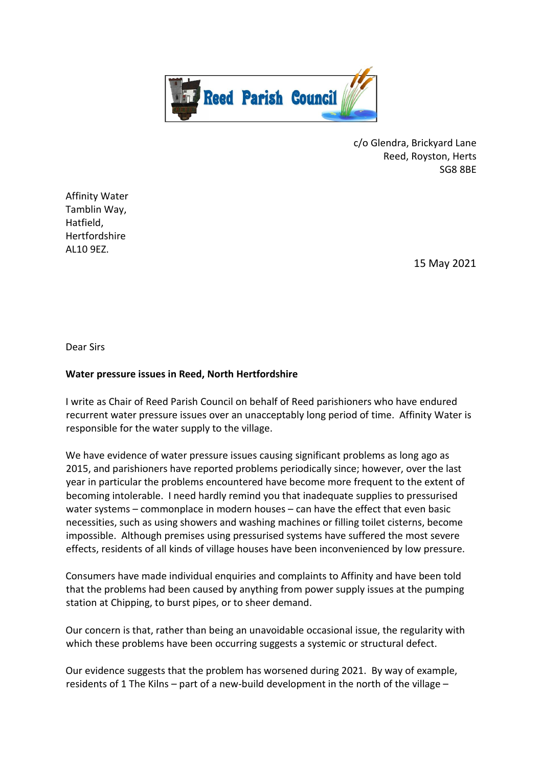

c/o Glendra, Brickyard Lane Reed, Royston, Herts SG8 8BE

Affinity Water Tamblin Way, Hatfield, Hertfordshire AL10 9EZ.

15 May 2021

Dear Sirs

## **Water pressure issues in Reed, North Hertfordshire**

I write as Chair of Reed Parish Council on behalf of Reed parishioners who have endured recurrent water pressure issues over an unacceptably long period of time. Affinity Water is responsible for the water supply to the village.

We have evidence of water pressure issues causing significant problems as long ago as 2015, and parishioners have reported problems periodically since; however, over the last year in particular the problems encountered have become more frequent to the extent of becoming intolerable. I need hardly remind you that inadequate supplies to pressurised water systems – commonplace in modern houses – can have the effect that even basic necessities, such as using showers and washing machines or filling toilet cisterns, become impossible. Although premises using pressurised systems have suffered the most severe effects, residents of all kinds of village houses have been inconvenienced by low pressure.

Consumers have made individual enquiries and complaints to Affinity and have been told that the problems had been caused by anything from power supply issues at the pumping station at Chipping, to burst pipes, or to sheer demand.

Our concern is that, rather than being an unavoidable occasional issue, the regularity with which these problems have been occurring suggests a systemic or structural defect.

Our evidence suggests that the problem has worsened during 2021. By way of example, residents of 1 The Kilns – part of a new-build development in the north of the village –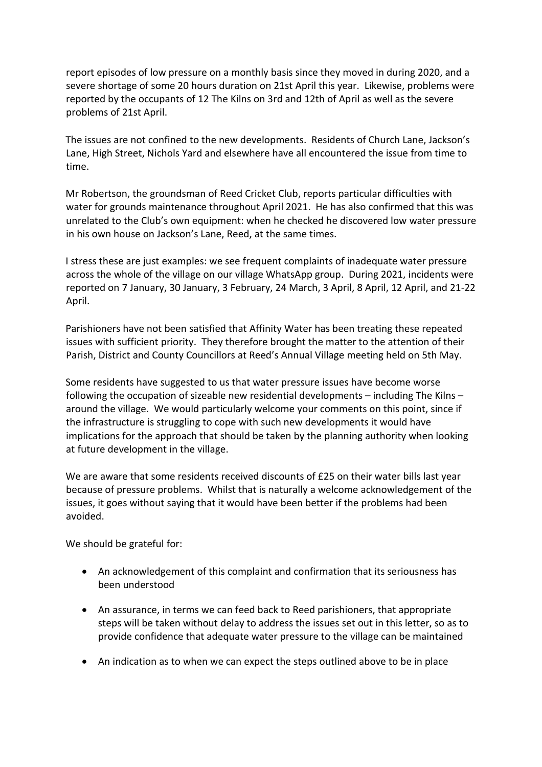report episodes of low pressure on a monthly basis since they moved in during 2020, and a severe shortage of some 20 hours duration on 21st April this year. Likewise, problems were reported by the occupants of 12 The Kilns on 3rd and 12th of April as well as the severe problems of 21st April.

The issues are not confined to the new developments. Residents of Church Lane, Jackson's Lane, High Street, Nichols Yard and elsewhere have all encountered the issue from time to time.

Mr Robertson, the groundsman of Reed Cricket Club, reports particular difficulties with water for grounds maintenance throughout April 2021. He has also confirmed that this was unrelated to the Club's own equipment: when he checked he discovered low water pressure in his own house on Jackson's Lane, Reed, at the same times.

I stress these are just examples: we see frequent complaints of inadequate water pressure across the whole of the village on our village WhatsApp group. During 2021, incidents were reported on 7 January, 30 January, 3 February, 24 March, 3 April, 8 April, 12 April, and 21-22 April.

Parishioners have not been satisfied that Affinity Water has been treating these repeated issues with sufficient priority. They therefore brought the matter to the attention of their Parish, District and County Councillors at Reed's Annual Village meeting held on 5th May.

Some residents have suggested to us that water pressure issues have become worse following the occupation of sizeable new residential developments – including The Kilns – around the village. We would particularly welcome your comments on this point, since if the infrastructure is struggling to cope with such new developments it would have implications for the approach that should be taken by the planning authority when looking at future development in the village.

We are aware that some residents received discounts of £25 on their water bills last year because of pressure problems. Whilst that is naturally a welcome acknowledgement of the issues, it goes without saying that it would have been better if the problems had been avoided.

We should be grateful for:

- An acknowledgement of this complaint and confirmation that its seriousness has been understood
- An assurance, in terms we can feed back to Reed parishioners, that appropriate steps will be taken without delay to address the issues set out in this letter, so as to provide confidence that adequate water pressure to the village can be maintained
- An indication as to when we can expect the steps outlined above to be in place